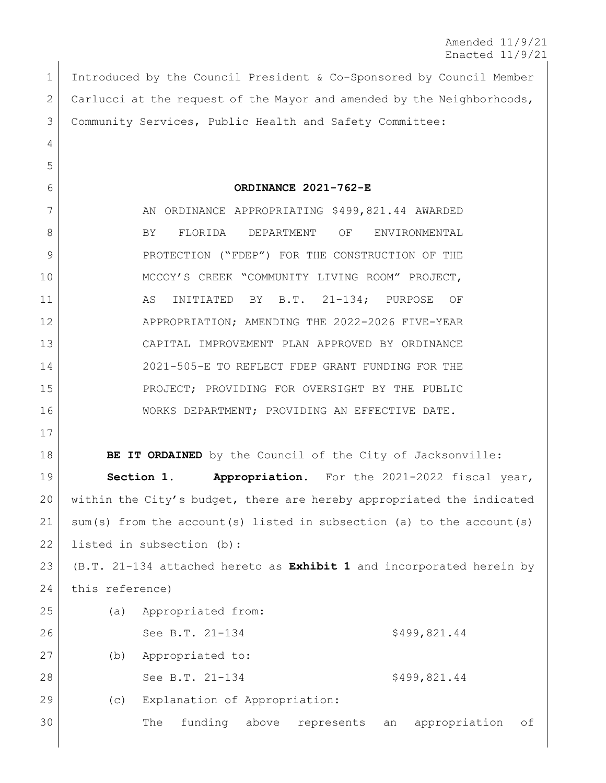Amended 11/9/21 Enacted 11/9/21

 Introduced by the Council President & Co-Sponsored by Council Member 2 Carlucci at the request of the Mayor and amended by the Neighborhoods, Community Services, Public Health and Safety Committee:

**ORDINANCE 2021-762-E**

7 AN ORDINANCE APPROPRIATING \$499,821.44 AWARDED 8 BY FLORIDA DEPARTMENT OF ENVIRONMENTAL 9 PROTECTION ("FDEP") FOR THE CONSTRUCTION OF THE MCCOY'S CREEK "COMMUNITY LIVING ROOM" PROJECT, 11 AS INITIATED BY B.T. 21-134; PURPOSE OF APPROPRIATION; AMENDING THE 2022-2026 FIVE-YEAR CAPITAL IMPROVEMENT PLAN APPROVED BY ORDINANCE 2021-505-E TO REFLECT FDEP GRANT FUNDING FOR THE PROJECT; PROVIDING FOR OVERSIGHT BY THE PUBLIC WORKS DEPARTMENT; PROVIDING AN EFFECTIVE DATE.

**BE IT ORDAINED** by the Council of the City of Jacksonville:

 **Section 1. Appropriation.** For the 2021-2022 fiscal year, within the City's budget, there are hereby appropriated the indicated sum(s) from the account(s) listed in subsection (a) to the account(s) 22 listed in subsection (b):

 (B.T. 21-134 attached hereto as **Exhibit 1** and incorporated herein by this reference)

| 25 | (a)             |                  | Appropriated from:            |       |            |              |               |    |
|----|-----------------|------------------|-------------------------------|-------|------------|--------------|---------------|----|
| 26 |                 |                  | See B.T. 21-134               |       |            |              | \$499,821.44  |    |
| 27 | (b)             | Appropriated to: |                               |       |            |              |               |    |
| 28 | See B.T. 21-134 |                  |                               |       |            | \$499,821.44 |               |    |
| 29 | (C)             |                  | Explanation of Appropriation: |       |            |              |               |    |
| 30 |                 | The              | funding                       | above | represents | an           | appropriation | of |
|    |                 |                  |                               |       |            |              |               |    |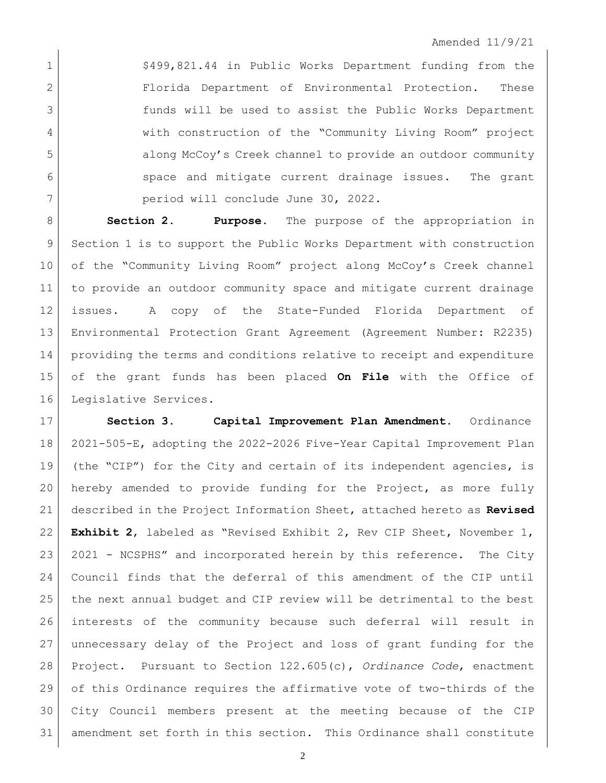1 <br>
<sup>5499,821.44</sup> in Public Works Department funding from the 2 Florida Department of Environmental Protection. These funds will be used to assist the Public Works Department 4 with construction of the "Community Living Room" project 5 along McCoy's Creek channel to provide an outdoor community 6 space and mitigate current drainage issues. The grant period will conclude June 30, 2022.

 **Section 2. Purpose.** The purpose of the appropriation in Section 1 is to support the Public Works Department with construction of the "Community Living Room" project along McCoy's Creek channel to provide an outdoor community space and mitigate current drainage issues. A copy of the State-Funded Florida Department of Environmental Protection Grant Agreement (Agreement Number: R2235) providing the terms and conditions relative to receipt and expenditure of the grant funds has been placed **On File** with the Office of Legislative Services.

 **Section 3. Capital Improvement Plan Amendment.** Ordinance 2021-505-E, adopting the 2022-2026 Five-Year Capital Improvement Plan (the "CIP") for the City and certain of its independent agencies, is hereby amended to provide funding for the Project, as more fully described in the Project Information Sheet, attached hereto as **Revised Exhibit 2**, labeled as "Revised Exhibit 2, Rev CIP Sheet, November 1, 2021 - NCSPHS" and incorporated herein by this reference. The City Council finds that the deferral of this amendment of the CIP until 25 the next annual budget and CIP review will be detrimental to the best interests of the community because such deferral will result in unnecessary delay of the Project and loss of grant funding for the Project. Pursuant to Section 122.605(c), *Ordinance Code*, enactment of this Ordinance requires the affirmative vote of two-thirds of the City Council members present at the meeting because of the CIP amendment set forth in this section. This Ordinance shall constitute